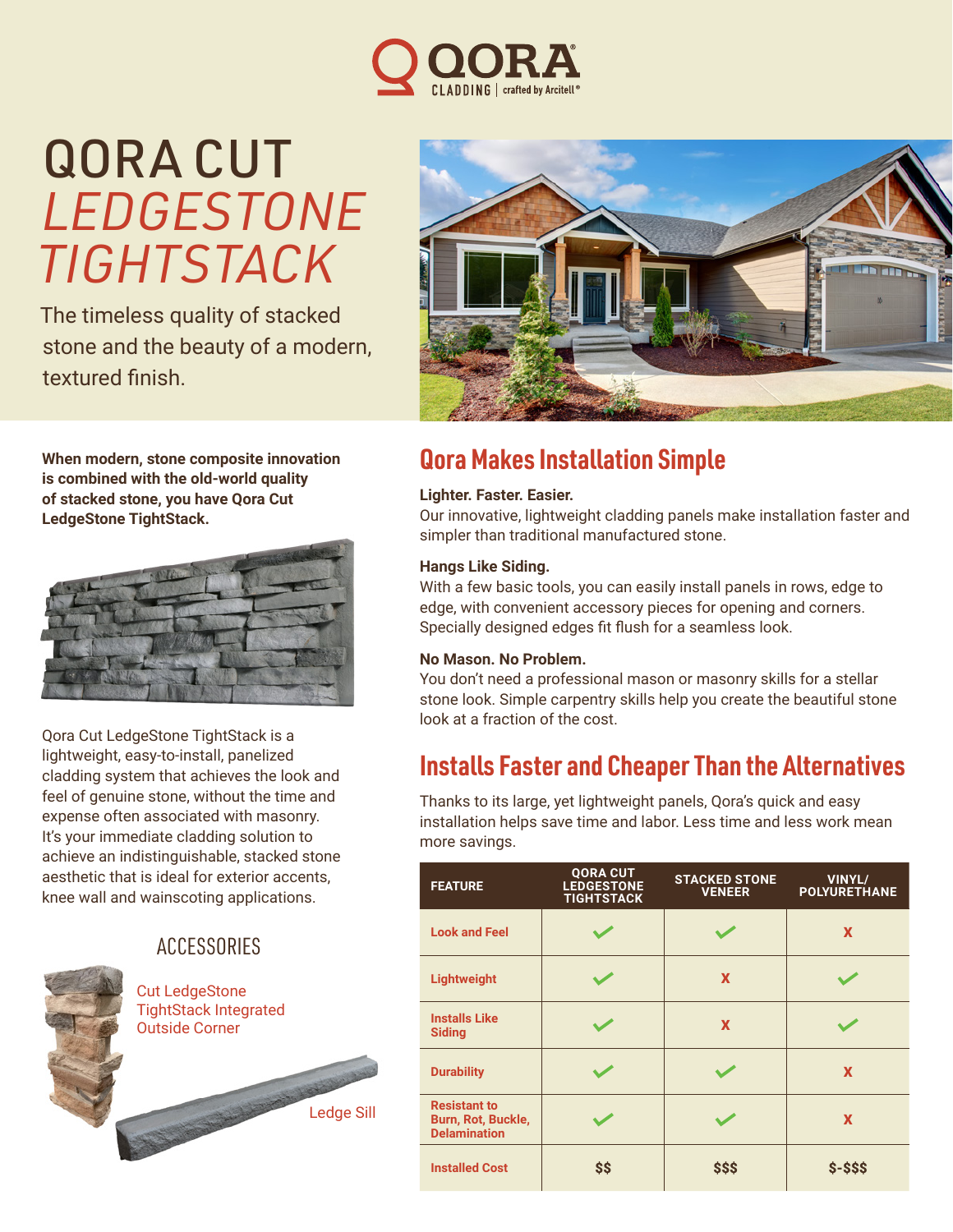

# QORA CUT *LEDGESTONE TIGHTSTACK*

The timeless quality of stacked stone and the beauty of a modern, textured finish.

**When modern, stone composite innovation is combined with the old-world quality of stacked stone, you have Qora Cut LedgeStone TightStack.** 



Qora Cut LedgeStone TightStack is a lightweight, easy-to-install, panelized cladding system that achieves the look and feel of genuine stone, without the time and expense often associated with masonry. It's your immediate cladding solution to achieve an indistinguishable, stacked stone aesthetic that is ideal for exterior accents, knee wall and wainscoting applications.

### **ACCESSORIES**

Ledge Sill





## **Qora Makes Installation Simple**

#### **Lighter. Faster. Easier.**

Our innovative, lightweight cladding panels make installation faster and simpler than traditional manufactured stone.

#### **Hangs Like Siding.**

With a few basic tools, you can easily install panels in rows, edge to edge, with convenient accessory pieces for opening and corners. Specially designed edges fit flush for a seamless look.

#### **No Mason. No Problem.**

You don't need a professional mason or masonry skills for a stellar stone look. Simple carpentry skills help you create the beautiful stone look at a fraction of the cost.

## **Installs Faster and Cheaper Than the Alternatives**

Thanks to its large, yet lightweight panels, Qora's quick and easy installation helps save time and labor. Less time and less work mean more savings.

| <b>FEATURE</b>                                                   | <b>QORA CUT</b><br><b>LEDGESTONE</b><br><b>TIGHTSTACK</b> | <b>STACKED STONE</b><br><b>VENEER</b> | VINYL/<br><b>POLYURETHANE</b> |
|------------------------------------------------------------------|-----------------------------------------------------------|---------------------------------------|-------------------------------|
| <b>Look and Feel</b>                                             |                                                           |                                       | X                             |
| Lightweight                                                      |                                                           | X                                     |                               |
| <b>Installs Like</b><br><b>Siding</b>                            |                                                           | X                                     |                               |
| <b>Durability</b>                                                |                                                           |                                       | X                             |
| <b>Resistant to</b><br>Burn, Rot, Buckle,<br><b>Delamination</b> |                                                           |                                       | X                             |
| <b>Installed Cost</b>                                            | \$\$                                                      | \$\$\$                                | $$ - $$ \$\$                  |